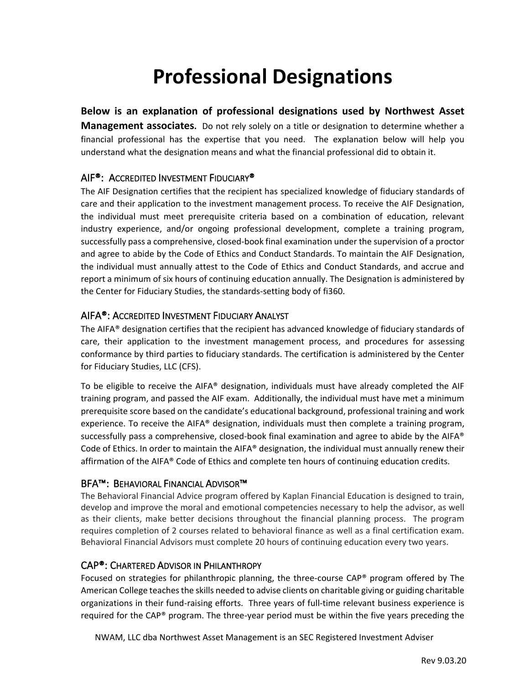# **Professional Designations**

## **Below is an explanation of professional designations used by Northwest Asset**

**Management associates.** Do not rely solely on a title or designation to determine whether a financial professional has the expertise that you need. The explanation below will help you understand what the designation means and what the financial professional did to obtain it.

# AIF®: ACCREDITED INVESTMENT FIDUCIARY®

The AIF Designation certifies that the recipient has specialized knowledge of fiduciary standards of care and their application to the investment management process. To receive the AIF Designation, the individual must meet prerequisite criteria based on a combination of education, relevant industry experience, and/or ongoing professional development, complete a training program, successfully pass a comprehensive, closed-book final examination under the supervision of a proctor and agree to abide by the Code of Ethics and Conduct Standards. To maintain the AIF Designation, the individual must annually attest to the Code of Ethics and Conduct Standards, and accrue and report a minimum of six hours of continuing education annually. The Designation is administered by the Center for Fiduciary Studies, the standards-setting body of fi360.

## AIFA®: ACCREDITED INVESTMENT FIDUCIARY ANALYST

The AIFA® designation certifies that the recipient has advanced knowledge of fiduciary standards of care, their application to the investment management process, and procedures for assessing conformance by third parties to fiduciary standards. The certification is administered by the Center for Fiduciary Studies, LLC (CFS).

To be eligible to receive the AIFA® designation, individuals must have already completed the AIF training program, and passed the AIF exam. Additionally, the individual must have met a minimum prerequisite score based on the candidate's educational background, professional training and work experience. To receive the AIFA® designation, individuals must then complete a training program, successfully pass a comprehensive, closed-book final examination and agree to abide by the AIFA® Code of Ethics. In order to maintain the AIFA® designation, the individual must annually renew their affirmation of the AIFA® Code of Ethics and complete ten hours of continuing education credits.

# BFA™: BEHAVIORAL FINANCIAL ADVISOR™

The Behavioral Financial Advice program offered by Kaplan Financial Education is designed to train, develop and improve the moral and emotional competencies necessary to help the advisor, as well as their clients, make better decisions throughout the financial planning process. The program requires completion of 2 courses related to behavioral finance as well as a final certification exam. Behavioral Financial Advisors must complete 20 hours of continuing education every two years.

# CAP®: CHARTERED ADVISOR IN PHILANTHROPY

Focused on strategies for philanthropic planning, the three-course CAP® program offered by The American College teaches the skills needed to advise clients on charitable giving or guiding charitable organizations in their fund-raising efforts. Three years of full-time relevant business experience is required for the CAP® program. The three-year period must be within the five years preceding the

NWAM, LLC dba Northwest Asset Management is an SEC Registered Investment Adviser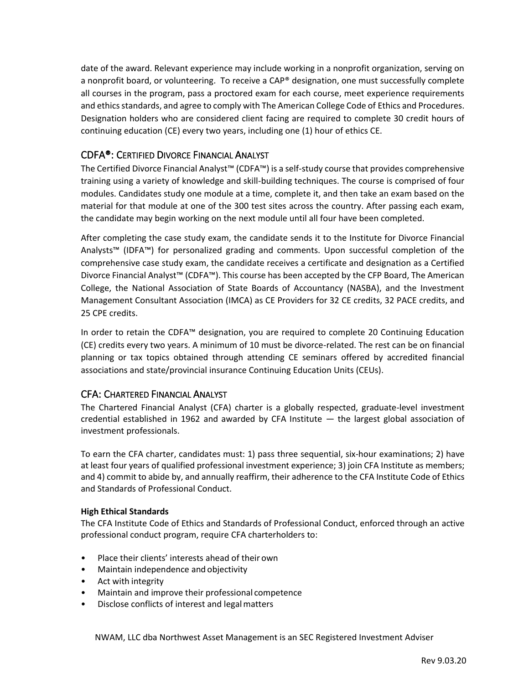date of the award. Relevant experience may include working in a nonprofit organization, serving on a nonprofit board, or volunteering. To receive a CAP® designation, one must successfully complete all courses in the program, pass a proctored exam for each course, meet experience requirements and ethics standards, and agree to comply with The American College Code of Ethics and Procedures. Designation holders who are considered client facing are required to complete 30 credit hours of continuing education (CE) every two years, including one (1) hour of ethics CE.

# CDFA®: CERTIFIED DIVORCE FINANCIAL ANALYST

The Certified Divorce Financial Analyst™ (CDFA™) is a self-study course that provides comprehensive training using a variety of knowledge and skill-building techniques. The course is comprised of four modules. Candidates study one module at a time, complete it, and then take an exam based on the material for that module at one of the 300 test sites across the country. After passing each exam, the candidate may begin working on the next module until all four have been completed.

After completing the case study exam, the candidate sends it to the Institute for Divorce Financial Analysts™ (IDFA™) for personalized grading and comments. Upon successful completion of the comprehensive case study exam, the candidate receives a certificate and designation as a Certified Divorce Financial Analyst™ (CDFA™). This course has been accepted by the CFP Board, The American College, the National Association of State Boards of Accountancy (NASBA), and the Investment Management Consultant Association (IMCA) as CE Providers for 32 CE credits, 32 PACE credits, and 25 CPE credits.

In order to retain the CDFA™ designation, you are required to complete 20 Continuing Education (CE) credits every two years. A minimum of 10 must be divorce-related. The rest can be on financial planning or tax topics obtained through attending CE seminars offered by accredited financial associations and state/provincial insurance Continuing Education Units (CEUs).

## CFA: CHARTERED FINANCIAL ANALYST

The Chartered Financial Analyst (CFA) charter is a globally respected, graduate-level investment credential established in 1962 and awarded by CFA Institute — the largest global association of investment professionals.

To earn the CFA charter, candidates must: 1) pass three sequential, six-hour examinations; 2) have at least four years of qualified professional investment experience; 3) join CFA Institute as members; and 4) commit to abide by, and annually reaffirm, their adherence to the CFA Institute Code of Ethics and Standards of Professional Conduct.

#### **High Ethical Standards**

The CFA Institute Code of Ethics and Standards of Professional Conduct, enforced through an active professional conduct program, require CFA charterholders to:

- Place their clients' interests ahead of their own
- Maintain independence and objectivity
- Act with integrity
- Maintain and improve their professional competence
- Disclose conflicts of interest and legalmatters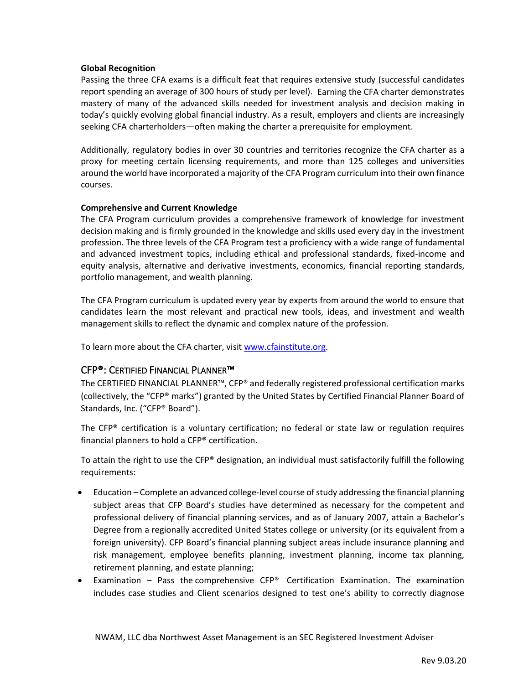#### **Global Recognition**

Passing the three CFA exams is a difficult feat that requires extensive study (successful candidates report spending an average of 300 hours of study per level). Earning the CFA charter demonstrates mastery of many of the advanced skills needed for investment analysis and decision making in today's quickly evolving global financial industry. As a result, employers and clients are increasingly seeking CFA charterholders—often making the charter a prerequisite for employment.

Additionally, regulatory bodies in over 30 countries and territories recognize the CFA charter as a proxy for meeting certain licensing requirements, and more than 125 colleges and universities around the world have incorporated a majority of the CFA Program curriculum into their own finance courses.

#### **Comprehensive and Current Knowledge**

The CFA Program curriculum provides a comprehensive framework of knowledge for investment decision making and is firmly grounded in the knowledge and skills used every day in the investment profession. The three levels of the CFA Program test a proficiency with a wide range of fundamental and advanced investment topics, including ethical and professional standards, fixed-income and equity analysis, alternative and derivative investments, economics, financial reporting standards, portfolio management, and wealth planning.

The CFA Program curriculum is updated every year by experts from around the world to ensure that candidates learn the most relevant and practical new tools, ideas, and investment and wealth management skills to reflect the dynamic and complex nature of the profession.

To learn more about the CFA charter, visi[t www.cfainstitute.org.](http://www.cfainstitute.org/)

## CFP®: CERTIFIED FINANCIAL PLANNER™

The CERTIFIED FINANCIAL PLANNER™, CFP® and federally registered professional certification marks (collectively, the "CFP® marks") granted by the United States by Certified Financial Planner Board of Standards, Inc. ("CFP® Board").

The  $CFP<sup>®</sup>$  certification is a voluntary certification; no federal or state law or regulation requires financial planners to hold a CFP® certification.

To attain the right to use the CFP® designation, an individual must satisfactorily fulfill the following requirements:

- Education Complete an advanced college-level course of study addressing the financial planning subject areas that CFP Board's studies have determined as necessary for the competent and professional delivery of financial planning services, and as of January 2007, attain a Bachelor's Degree from a regionally accredited United States college or university (or its equivalent from a foreign university). CFP Board's financial planning subject areas include insurance planning and risk management, employee benefits planning, investment planning, income tax planning, retirement planning, and estate planning;
- Examination  $-$  Pass the comprehensive  $CFP^*$  Certification Examination. The examination includes case studies and Client scenarios designed to test one's ability to correctly diagnose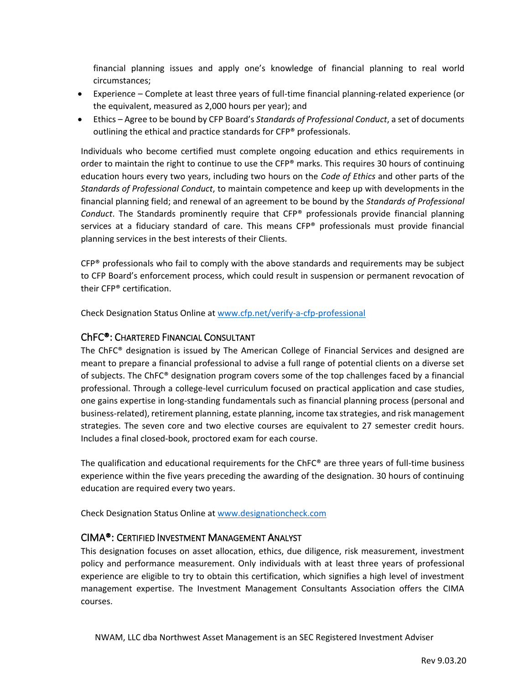financial planning issues and apply one's knowledge of financial planning to real world circumstances;

- Experience Complete at least three years of full-time financial planning-related experience (or the equivalent, measured as 2,000 hours per year); and
- Ethics Agree to be bound by CFP Board's *Standards of Professional Conduct*, a set of documents outlining the ethical and practice standards for CFP® professionals.

Individuals who become certified must complete ongoing education and ethics requirements in order to maintain the right to continue to use the CFP® marks. This requires 30 hours of continuing education hours every two years, including two hours on the *Code of Ethics* and other parts of the *Standards of Professional Conduct*, to maintain competence and keep up with developments in the financial planning field; and renewal of an agreement to be bound by the *Standards of Professional Conduct*. The Standards prominently require that CFP® professionals provide financial planning services at a fiduciary standard of care. This means CFP® professionals must provide financial planning services in the best interests of their Clients.

 $CFP<sup>®</sup>$  professionals who fail to comply with the above standards and requirements may be subject to CFP Board's enforcement process, which could result in suspension or permanent revocation of their CFP® certification.

Check Designation Status Online at [www.cfp.net/verify-a-cfp-professional](http://www.cfp.net/verify-a-cfp-professional)

# ChFC®: CHARTERED FINANCIAL CONSULTANT

The ChFC® designation is issued by The American College of Financial Services and designed are meant to prepare a financial professional to advise a full range of potential clients on a diverse set of subjects. The ChFC® designation program covers some of the top challenges faced by a financial professional. Through a college-level curriculum focused on practical application and case studies, one gains expertise in long-standing fundamentals such as financial planning process (personal and business-related), retirement planning, estate planning, income tax strategies, and risk management strategies. The seven core and two elective courses are equivalent to 27 semester credit hours. Includes a final closed-book, proctored exam for each course.

The qualification and educational requirements for the ChFC® are three years of full-time business experience within the five years preceding the awarding of the designation. 30 hours of continuing education are required every two years.

Check Designation Status Online at [www.designationcheck.com](http://www.designationcheck.com/)

## CIMA®: CERTIFIED INVESTMENT MANAGEMENT ANALYST

This designation focuses on asset allocation, ethics, due diligence, risk measurement, investment policy and performance measurement. Only individuals with at least three years of professional experience are eligible to try to obtain this certification, which signifies a high level of investment management expertise. The Investment Management Consultants Association offers the CIMA courses.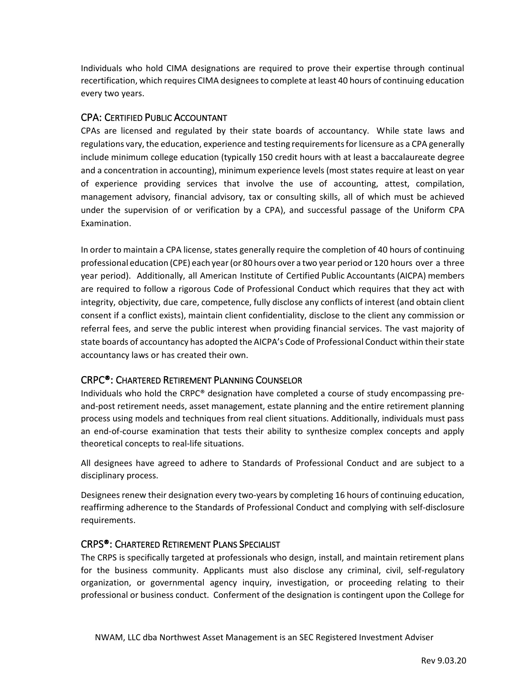Individuals who hold CIMA designations are required to prove their expertise through continual recertification, which requires CIMA designees to complete at least 40 hours of continuing education every two years.

## CPA: CERTIFIED PUBLIC ACCOUNTANT

CPAs are licensed and regulated by their state boards of accountancy. While state laws and regulations vary, the education, experience and testing requirementsfor licensure as a CPA generally include minimum college education (typically 150 credit hours with at least a baccalaureate degree and a concentration in accounting), minimum experience levels (most states require at least on year of experience providing services that involve the use of accounting, attest, compilation, management advisory, financial advisory, tax or consulting skills, all of which must be achieved under the supervision of or verification by a CPA), and successful passage of the Uniform CPA Examination.

In order to maintain a CPA license, states generally require the completion of 40 hours of continuing professional education (CPE) each year(or 80 hours over a two year period or 120 hours over a three year period). Additionally, all American Institute of Certified Public Accountants (AICPA) members are required to follow a rigorous Code of Professional Conduct which requires that they act with integrity, objectivity, due care, competence, fully disclose any conflicts of interest (and obtain client consent if a conflict exists), maintain client confidentiality, disclose to the client any commission or referral fees, and serve the public interest when providing financial services. The vast majority of state boards of accountancy has adopted the AICPA's Code of Professional Conduct within their state accountancy laws or has created their own.

# CRPC®: CHARTERED RETIREMENT PLANNING COUNSELOR

Individuals who hold the CRPC® designation have completed a course of study encompassing pre‐ and-post retirement needs, asset management, estate planning and the entire retirement planning process using models and techniques from real client situations. Additionally, individuals must pass an end‐of‐course examination that tests their ability to synthesize complex concepts and apply theoretical concepts to real‐life situations.

All designees have agreed to adhere to Standards of Professional Conduct and are subject to a disciplinary process.

Designees renew their designation every two-years by completing 16 hours of continuing education, reaffirming adherence to the Standards of Professional Conduct and complying with self‐disclosure requirements.

# CRPS®: CHARTERED RETIREMENT PLANS SPECIALIST

The CRPS is specifically targeted at professionals who design, install, and maintain retirement plans for the business community. Applicants must also disclose any criminal, civil, self-regulatory organization, or governmental agency inquiry, investigation, or proceeding relating to their professional or business conduct. Conferment of the designation is contingent upon the College for